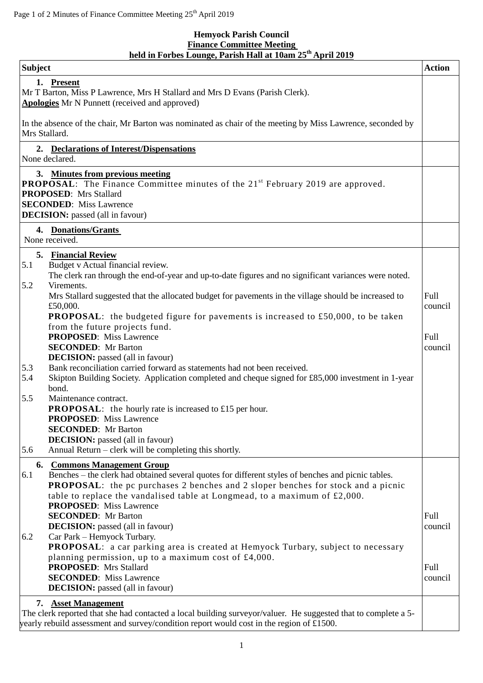## **Hemyock Parish Council Finance Committee Meeting held in Forbes Lounge, Parish Hall at 10am 25 th April 2019**

| <b>Subject</b>                                                                                                                                                                                                                                                                                                                                                      | <b>Action</b>          |
|---------------------------------------------------------------------------------------------------------------------------------------------------------------------------------------------------------------------------------------------------------------------------------------------------------------------------------------------------------------------|------------------------|
| 1. Present<br>Mr T Barton, Miss P Lawrence, Mrs H Stallard and Mrs D Evans (Parish Clerk).<br><b>Apologies</b> Mr N Punnett (received and approved)                                                                                                                                                                                                                 |                        |
| In the absence of the chair, Mr Barton was nominated as chair of the meeting by Miss Lawrence, seconded by<br>Mrs Stallard.                                                                                                                                                                                                                                         |                        |
| 2. Declarations of Interest/Dispensations<br>None declared.                                                                                                                                                                                                                                                                                                         |                        |
| 3. Minutes from previous meeting<br><b>PROPOSAL:</b> The Finance Committee minutes of the 21 <sup>st</sup> February 2019 are approved.<br><b>PROPOSED:</b> Mrs Stallard<br><b>SECONDED:</b> Miss Lawrence<br><b>DECISION:</b> passed (all in favour)                                                                                                                |                        |
| 4. Donations/Grants<br>None received.                                                                                                                                                                                                                                                                                                                               |                        |
| 5. Financial Review<br>Budget v Actual financial review.<br>5.1<br>The clerk ran through the end-of-year and up-to-date figures and no significant variances were noted.<br>Virements.<br>5.2                                                                                                                                                                       |                        |
| Mrs Stallard suggested that the allocated budget for pavements in the village should be increased to<br>£50,000.<br><b>PROPOSAL:</b> the budgeted figure for pavements is increased to £50,000, to be taken<br>from the future projects fund.                                                                                                                       | <b>Full</b><br>council |
| <b>PROPOSED:</b> Miss Lawrence<br><b>SECONDED:</b> Mr Barton<br><b>DECISION:</b> passed (all in favour)<br>Bank reconciliation carried forward as statements had not been received.<br>5.3                                                                                                                                                                          | Full<br>council        |
| 5.4<br>Skipton Building Society. Application completed and cheque signed for £85,000 investment in 1-year<br>bond.                                                                                                                                                                                                                                                  |                        |
| 5.5<br>Maintenance contract.<br><b>PROPOSAL:</b> the hourly rate is increased to £15 per hour.<br><b>PROPOSED:</b> Miss Lawrence<br><b>SECONDED:</b> Mr Barton<br><b>DECISION:</b> passed (all in favour)                                                                                                                                                           |                        |
| Annual Return – clerk will be completing this shortly.<br>5.6                                                                                                                                                                                                                                                                                                       |                        |
| 6. Commons Management Group<br>Benches – the clerk had obtained several quotes for different styles of benches and picnic tables.<br>6.1<br><b>PROPOSAL:</b> the pc purchases 2 benches and 2 sloper benches for stock and a picnic<br>table to replace the vandalised table at Longmead, to a maximum of $\text{\pounds}2,000$ .<br><b>PROPOSED:</b> Miss Lawrence |                        |
| <b>SECONDED:</b> Mr Barton<br><b>DECISION:</b> passed (all in favour)                                                                                                                                                                                                                                                                                               | Full<br>council        |
| Car Park - Hemyock Turbary.<br>6.2<br>PROPOSAL: a car parking area is created at Hemyock Turbary, subject to necessary<br>planning permission, up to a maximum cost of $£4,000$ .                                                                                                                                                                                   |                        |
| <b>PROPOSED:</b> Mrs Stallard<br><b>SECONDED:</b> Miss Lawrence<br><b>DECISION:</b> passed (all in favour)                                                                                                                                                                                                                                                          | Full<br>council        |
| <b>Asset Management</b><br>7.                                                                                                                                                                                                                                                                                                                                       |                        |
| The clerk reported that she had contacted a local building surveyor/valuer. He suggested that to complete a 5-<br>yearly rebuild assessment and survey/condition report would cost in the region of £1500.                                                                                                                                                          |                        |